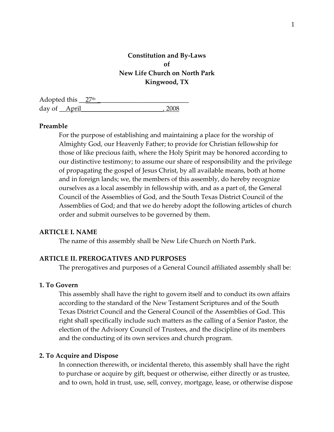# **Constitution and By-Laws of New Life Church on North Park Kingwood, TX**

Adopted this  $\frac{27^{\text{th}}}{}$ day of <u>April</u> 2008

### **Preamble**

For the purpose of establishing and maintaining a place for the worship of Almighty God, our Heavenly Father; to provide for Christian fellowship for those of like precious faith, where the Holy Spirit may be honored according to our distinctive testimony; to assume our share of responsibility and the privilege of propagating the gospel of Jesus Christ, by all available means, both at home and in foreign lands; we, the members of this assembly, do hereby recognize ourselves as a local assembly in fellowship with, and as a part of, the General Council of the Assemblies of God, and the South Texas District Council of the Assemblies of God; and that we do hereby adopt the following articles of church order and submit ourselves to be governed by them.

#### **ARTICLE I. NAME**

The name of this assembly shall be New Life Church on North Park.

#### **ARTICLE II. PREROGATIVES AND PURPOSES**

The prerogatives and purposes of a General Council affiliated assembly shall be:

### **1. To Govern**

This assembly shall have the right to govern itself and to conduct its own affairs according to the standard of the New Testament Scriptures and of the South Texas District Council and the General Council of the Assemblies of God. This right shall specifically include such matters as the calling of a Senior Pastor, the election of the Advisory Council of Trustees, and the discipline of its members and the conducting of its own services and church program.

#### **2. To Acquire and Dispose**

In connection therewith, or incidental thereto, this assembly shall have the right to purchase or acquire by gift, bequest or otherwise, either directly or as trustee, and to own, hold in trust, use, sell, convey, mortgage, lease, or otherwise dispose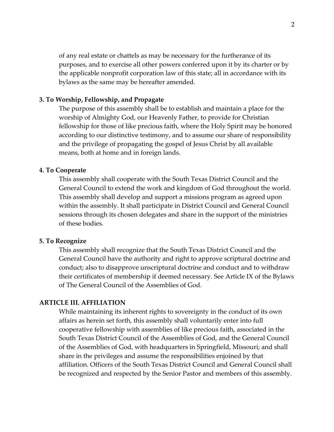of any real estate or chattels as may be necessary for the furtherance of its purposes, and to exercise all other powers conferred upon it by its charter or by the applicable nonprofit corporation law of this state; all in accordance with its bylaws as the same may be hereafter amended.

### **3. To Worship, Fellowship, and Propagate**

The purpose of this assembly shall be to establish and maintain a place for the worship of Almighty God, our Heavenly Father, to provide for Christian fellowship for those of like precious faith, where the Holy Spirit may be honored according to our distinctive testimony, and to assume our share of responsibility and the privilege of propagating the gospel of Jesus Christ by all available means, both at home and in foreign lands.

### **4. To Cooperate**

This assembly shall cooperate with the South Texas District Council and the General Council to extend the work and kingdom of God throughout the world. This assembly shall develop and support a missions program as agreed upon within the assembly. It shall participate in District Council and General Council sessions through its chosen delegates and share in the support of the ministries of these bodies.

#### **5. To Recognize**

This assembly shall recognize that the South Texas District Council and the General Council have the authority and right to approve scriptural doctrine and conduct; also to disapprove unscriptural doctrine and conduct and to withdraw their certificates of membership if deemed necessary. See Article IX of the Bylaws of The General Council of the Assemblies of God.

# **ARTICLE III. AFFILIATION**

While maintaining its inherent rights to sovereignty in the conduct of its own affairs as herein set forth, this assembly shall voluntarily enter into full cooperative fellowship with assemblies of like precious faith, associated in the South Texas District Council of the Assemblies of God, and the General Council of the Assemblies of God, with headquarters in Springfield, Missouri; and shall share in the privileges and assume the responsibilities enjoined by that affiliation. Officers of the South Texas District Council and General Council shall be recognized and respected by the Senior Pastor and members of this assembly.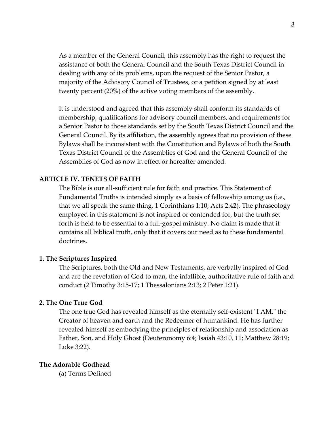As a member of the General Council, this assembly has the right to request the assistance of both the General Council and the South Texas District Council in dealing with any of its problems, upon the request of the Senior Pastor, a majority of the Advisory Council of Trustees, or a petition signed by at least twenty percent (20%) of the active voting members of the assembly.

It is understood and agreed that this assembly shall conform its standards of membership, qualifications for advisory council members, and requirements for a Senior Pastor to those standards set by the South Texas District Council and the General Council. By its affiliation, the assembly agrees that no provision of these Bylaws shall be inconsistent with the Constitution and Bylaws of both the South Texas District Council of the Assemblies of God and the General Council of the Assemblies of God as now in effect or hereafter amended.

### **ARTICLE IV. TENETS OF FAITH**

The Bible is our all-sufficient rule for faith and practice. This Statement of Fundamental Truths is intended simply as a basis of fellowship among us (i.e., that we all speak the same thing, 1 Corinthians 1:10; Acts 2:42). The phraseology employed in this statement is not inspired or contended for, but the truth set forth is held to be essential to a full-gospel ministry. No claim is made that it contains all biblical truth, only that it covers our need as to these fundamental doctrines.

## **1. The Scriptures Inspired**

The Scriptures, both the Old and New Testaments, are verbally inspired of God and are the revelation of God to man, the infallible, authoritative rule of faith and conduct (2 Timothy 3:15-17; 1 Thessalonians 2:13; 2 Peter 1:21).

# **2. The One True God**

The one true God has revealed himself as the eternally self-existent "I AM," the Creator of heaven and earth and the Redeemer of humankind. He has further revealed himself as embodying the principles of relationship and association as Father, Son, and Holy Ghost (Deuteronomy 6:4; Isaiah 43:10, 11; Matthew 28:19; Luke 3:22).

#### **The Adorable Godhead**

(a) Terms Defined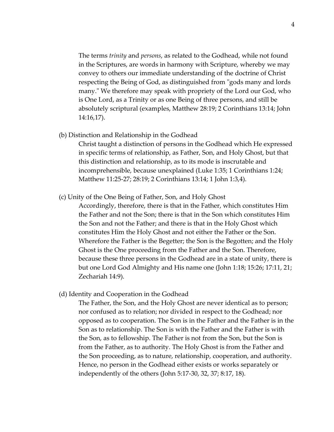The terms *trinity* and *persons*, as related to the Godhead, while not found in the Scriptures, are words in harmony with Scripture, whereby we may convey to others our immediate understanding of the doctrine of Christ respecting the Being of God, as distinguished from "gods many and lords many." We therefore may speak with propriety of the Lord our God, who is One Lord, as a Trinity or as one Being of three persons, and still be absolutely scriptural (examples, Matthew 28:19; 2 Corinthians 13:14; John 14:16,17).

(b) Distinction and Relationship in the Godhead

Christ taught a distinction of persons in the Godhead which He expressed in specific terms of relationship, as Father, Son, and Holy Ghost, but that this distinction and relationship, as to its mode is inscrutable and incomprehensible, because unexplained (Luke 1:35; 1 Corinthians 1:24; Matthew 11:25-27; 28:19; 2 Corinthians 13:14; 1 John 1:3,4).

(c) Unity of the One Being of Father, Son, and Holy Ghost

Accordingly, therefore, there is that in the Father, which constitutes Him the Father and not the Son; there is that in the Son which constitutes Him the Son and not the Father; and there is that in the Holy Ghost which constitutes Him the Holy Ghost and not either the Father or the Son. Wherefore the Father is the Begetter; the Son is the Begotten; and the Holy Ghost is the One proceeding from the Father and the Son. Therefore, because these three persons in the Godhead are in a state of unity, there is but one Lord God Almighty and His name one (John 1:18; 15:26; 17:11, 21; Zechariah 14:9).

(d) Identity and Cooperation in the Godhead

The Father, the Son, and the Holy Ghost are never identical as to person; nor confused as to relation; nor divided in respect to the Godhead; nor opposed as to cooperation. The Son is in the Father and the Father is in the Son as to relationship. The Son is with the Father and the Father is with the Son, as to fellowship. The Father is not from the Son, but the Son is from the Father, as to authority. The Holy Ghost is from the Father and the Son proceeding, as to nature, relationship, cooperation, and authority. Hence, no person in the Godhead either exists or works separately or independently of the others (John 5:17-30, 32, 37; 8:17, 18).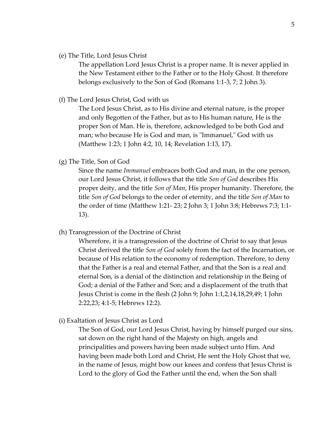(e) The Title, Lord Jesus Christ

The appellation Lord Jesus Christ is a proper name. It is never applied in the New Testament either to the Father or to the Holy Ghost. It therefore belongs exclusively to the Son of God (Romans 1:1-3, 7; 2 John 3).

(f) The Lord Jesus Christ, God with us

The Lord Jesus Christ, as to His divine and eternal nature, is the proper and only Begotten of the Father, but as to His human nature, He is the proper Son of Man. He is, therefore, acknowledged to be both God and man; who because He is God and man, is "Immanuel," God with us (Matthew 1:23; 1 John 4:2, 10, 14; Revelation 1:13, 17).

(g) The Title, Son of God

Since the name *Immanuel* embraces both God and man, in the one person, our Lord Jesus Christ, it follows that the title *Son of God* describes His proper deity, and the title *Son of Man*, His proper humanity. Therefore, the title *Son of God* belongs to the order of eternity, and the title *Son of Man* to the order of time (Matthew 1:21- 23; 2 John 3; 1 John 3:8; Hebrews 7:3; 1:1- 13).

(h) Transgression of the Doctrine of Christ

Wherefore, it is a transgression of the doctrine of Christ to say that Jesus Christ derived the title *Son of God* solely from the fact of the Incarnation, or because of His relation to the economy of redemption. Therefore, to deny that the Father is a real and eternal Father, and that the Son is a real and eternal Son, is a denial of the distinction and relationship in the Being of God; a denial of the Father and Son; and a displacement of the truth that Jesus Christ is come in the flesh (2 John 9; John 1:1,2,14,18,29,49; 1 John 2:22,23; 4:1-5; Hebrews 12:2).

(i) Exaltation of Jesus Christ as Lord

The Son of God, our Lord Jesus Christ, having by himself purged our sins, sat down on the right hand of the Majesty on high, angels and principalities and powers having been made subject unto Him. And having been made both Lord and Christ, He sent the Holy Ghost that we, in the name of Jesus, might bow our knees and confess that Jesus Christ is Lord to the glory of God the Father until the end, when the Son shall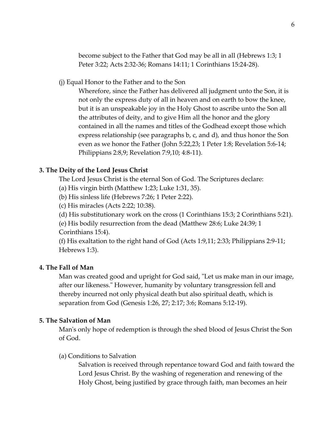become subject to the Father that God may be all in all (Hebrews 1:3; 1 Peter 3:22; Acts 2:32-36; Romans 14:11; 1 Corinthians 15:24-28).

(j) Equal Honor to the Father and to the Son

Wherefore, since the Father has delivered all judgment unto the Son, it is not only the express duty of all in heaven and on earth to bow the knee, but it is an unspeakable joy in the Holy Ghost to ascribe unto the Son all the attributes of deity, and to give Him all the honor and the glory contained in all the names and titles of the Godhead except those which express relationship (see paragraphs b, c, and d), and thus honor the Son even as we honor the Father (John 5:22,23; 1 Peter 1:8; Revelation 5:6-14; Philippians 2:8,9; Revelation 7:9,10; 4:8-11).

# **3. The Deity of the Lord Jesus Christ**

The Lord Jesus Christ is the eternal Son of God. The Scriptures declare:

- (a) His virgin birth (Matthew 1:23; Luke 1:31, 35).
- (b) His sinless life (Hebrews 7:26; 1 Peter 2:22).
- (c) His miracles (Acts 2:22; 10:38).
- (d) His substitutionary work on the cross (1 Corinthians 15:3; 2 Corinthians 5:21).

(e) His bodily resurrection from the dead (Matthew 28:6; Luke 24:39; 1 Corinthians 15:4).

(f) His exaltation to the right hand of God (Acts 1:9,11; 2:33; Philippians 2:9-11; Hebrews 1:3).

# **4. The Fall of Man**

Man was created good and upright for God said, "Let us make man in our image, after our likeness." However, humanity by voluntary transgression fell and thereby incurred not only physical death but also spiritual death, which is separation from God (Genesis 1:26, 27; 2:17; 3:6; Romans 5:12-19).

# **5. The Salvation of Man**

Man's only hope of redemption is through the shed blood of Jesus Christ the Son of God.

(a) Conditions to Salvation

Salvation is received through repentance toward God and faith toward the Lord Jesus Christ. By the washing of regeneration and renewing of the Holy Ghost, being justified by grace through faith, man becomes an heir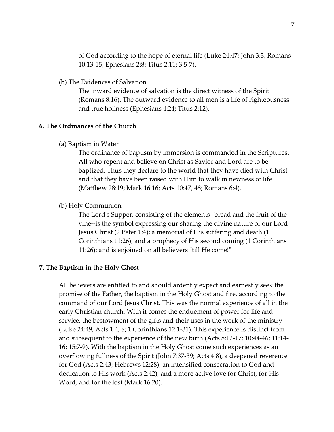of God according to the hope of eternal life (Luke 24:47; John 3:3; Romans 10:13-15; Ephesians 2:8; Titus 2:11; 3:5-7).

(b) The Evidences of Salvation

The inward evidence of salvation is the direct witness of the Spirit (Romans 8:16). The outward evidence to all men is a life of righteousness and true holiness (Ephesians 4:24; Titus 2:12).

### **6. The Ordinances of the Church**

(a) Baptism in Water

The ordinance of baptism by immersion is commanded in the Scriptures. All who repent and believe on Christ as Savior and Lord are to be baptized. Thus they declare to the world that they have died with Christ and that they have been raised with Him to walk in newness of life (Matthew 28:19; Mark 16:16; Acts 10:47, 48; Romans 6:4).

(b) Holy Communion

The Lord's Supper, consisting of the elements--bread and the fruit of the vine--is the symbol expressing our sharing the divine nature of our Lord Jesus Christ (2 Peter 1:4); a memorial of His suffering and death (1 Corinthians 11:26); and a prophecy of His second coming (1 Corinthians 11:26); and is enjoined on all believers "till He come!"

#### **7. The Baptism in the Holy Ghost**

All believers are entitled to and should ardently expect and earnestly seek the promise of the Father, the baptism in the Holy Ghost and fire, according to the command of our Lord Jesus Christ. This was the normal experience of all in the early Christian church. With it comes the enduement of power for life and service, the bestowment of the gifts and their uses in the work of the ministry (Luke 24:49; Acts 1:4, 8; 1 Corinthians 12:1-31). This experience is distinct from and subsequent to the experience of the new birth (Acts 8:12-17; 10:44-46; 11:14- 16; 15:7-9). With the baptism in the Holy Ghost come such experiences as an overflowing fullness of the Spirit (John 7:37-39; Acts 4:8), a deepened reverence for God (Acts 2:43; Hebrews 12:28), an intensified consecration to God and dedication to His work (Acts 2:42), and a more active love for Christ, for His Word, and for the lost (Mark 16:20).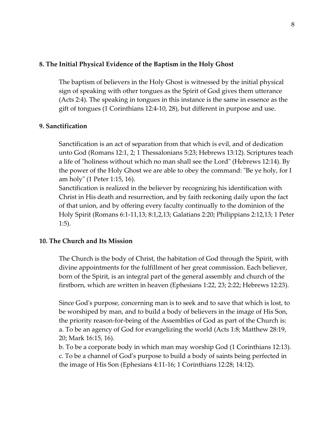# **8. The Initial Physical Evidence of the Baptism in the Holy Ghost**

The baptism of believers in the Holy Ghost is witnessed by the initial physical sign of speaking with other tongues as the Spirit of God gives them utterance (Acts 2:4). The speaking in tongues in this instance is the same in essence as the gift of tongues (1 Corinthians 12:4-10, 28), but different in purpose and use.

# **9. Sanctification**

Sanctification is an act of separation from that which is evil, and of dedication unto God (Romans 12:1, 2; 1 Thessalonians 5:23; Hebrews 13:12). Scriptures teach a life of "holiness without which no man shall see the Lord" (Hebrews 12:14). By the power of the Holy Ghost we are able to obey the command: "Be ye holy, for I am holy" (1 Peter 1:15, 16).

Sanctification is realized in the believer by recognizing his identification with Christ in His death and resurrection, and by faith reckoning daily upon the fact of that union, and by offering every faculty continually to the dominion of the Holy Spirit (Romans 6:1-11,13; 8:1,2,13; Galatians 2:20; Philippians 2:12,13; 1 Peter 1:5).

## **10. The Church and Its Mission**

The Church is the body of Christ, the habitation of God through the Spirit, with divine appointments for the fulfillment of her great commission. Each believer, born of the Spirit, is an integral part of the general assembly and church of the firstborn, which are written in heaven (Ephesians 1:22, 23; 2:22; Hebrews 12:23).

Since God's purpose, concerning man is to seek and to save that which is lost, to be worshiped by man, and to build a body of believers in the image of His Son, the priority reason-for-being of the Assemblies of God as part of the Church is: a. To be an agency of God for evangelizing the world (Acts 1:8; Matthew 28:19, 20; Mark 16:15, 16).

b. To be a corporate body in which man may worship God (1 Corinthians 12:13). c. To be a channel of God's purpose to build a body of saints being perfected in the image of His Son (Ephesians 4:11-16; 1 Corinthians 12:28; 14:12).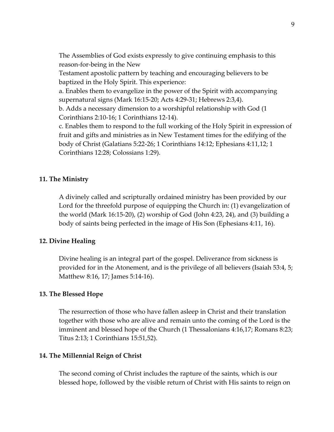The Assemblies of God exists expressly to give continuing emphasis to this reason-for-being in the New

Testament apostolic pattern by teaching and encouraging believers to be baptized in the Holy Spirit. This experience:

a. Enables them to evangelize in the power of the Spirit with accompanying supernatural signs (Mark 16:15-20; Acts 4:29-31; Hebrews 2:3,4).

b. Adds a necessary dimension to a worshipful relationship with God (1 Corinthians 2:10-16; 1 Corinthians 12-14).

c. Enables them to respond to the full working of the Holy Spirit in expression of fruit and gifts and ministries as in New Testament times for the edifying of the body of Christ (Galatians 5:22-26; 1 Corinthians 14:12; Ephesians 4:11,12; 1 Corinthians 12:28; Colossians 1:29).

## **11. The Ministry**

A divinely called and scripturally ordained ministry has been provided by our Lord for the threefold purpose of equipping the Church in: (1) evangelization of the world (Mark 16:15-20), (2) worship of God (John 4:23, 24), and (3) building a body of saints being perfected in the image of His Son (Ephesians 4:11, 16).

## **12. Divine Healing**

Divine healing is an integral part of the gospel. Deliverance from sickness is provided for in the Atonement, and is the privilege of all believers (Isaiah 53:4, 5; Matthew 8:16, 17; James 5:14-16).

#### **13. The Blessed Hope**

The resurrection of those who have fallen asleep in Christ and their translation together with those who are alive and remain unto the coming of the Lord is the imminent and blessed hope of the Church (1 Thessalonians 4:16,17; Romans 8:23; Titus 2:13; 1 Corinthians 15:51,52).

#### **14. The Millennial Reign of Christ**

The second coming of Christ includes the rapture of the saints, which is our blessed hope, followed by the visible return of Christ with His saints to reign on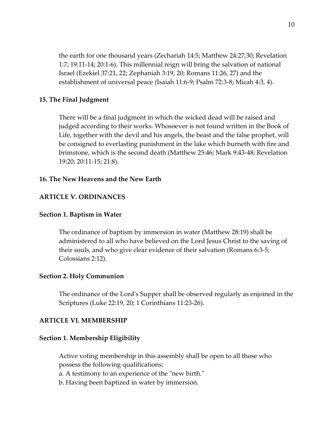the earth for one thousand years (Zechariah 14:5; Matthew 24:27,30; Revelation 1:7; 19:11-14; 20:1-6). This millennial reign will bring the salvation of national Israel (Ezekiel 37:21, 22; Zephaniah 3:19, 20; Romans 11:26, 27) and the establishment of universal peace (Isaiah 11:6-9; Psalm 72:3-8; Micah 4:3, 4).

### **15. The Final Judgment**

There will be a final judgment in which the wicked dead will be raised and judged according to their works. Whosoever is not found written in the Book of Life, together with the devil and his angels, the beast and the false prophet, will be consigned to everlasting punishment in the lake which burneth with fire and brimstone, which is the second death (Matthew 25:46; Mark 9:43-48; Revelation 19:20; 20:11-15; 21:8).

#### **16. The New Heavens and the New Earth**

### **ARTICLE V. ORDINANCES**

#### **Section 1. Baptism in Water**

The ordinance of baptism by immersion in water (Matthew 28:19) shall be administered to all who have believed on the Lord Jesus Christ to the saving of their souls, and who give clear evidence of their salvation (Romans 6:3-5; Colossians 2:12).

#### **Section 2. Holy Communion**

The ordinance of the Lord's Supper shall be observed regularly as enjoined in the Scriptures (Luke 22:19, 20; 1 Corinthians 11:23-26).

#### **ARTICLE VI. MEMBERSHIP**

#### **Section 1. Membership Eligibility**

Active voting membership in this assembly shall be open to all those who possess the following qualifications:

a. A testimony to an experience of the "new birth."

b. Having been baptized in water by immersion.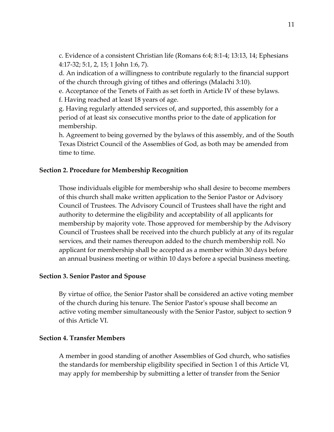c. Evidence of a consistent Christian life (Romans 6:4; 8:1-4; 13:13, 14; Ephesians 4:17-32; 5:1, 2, 15; 1 John 1:6, 7).

d. An indication of a willingness to contribute regularly to the financial support of the church through giving of tithes and offerings (Malachi 3:10).

e. Acceptance of the Tenets of Faith as set forth in Article IV of these bylaws. f. Having reached at least 18 years of age.

g. Having regularly attended services of, and supported, this assembly for a period of at least six consecutive months prior to the date of application for membership.

h. Agreement to being governed by the bylaws of this assembly, and of the South Texas District Council of the Assemblies of God, as both may be amended from time to time.

## **Section 2. Procedure for Membership Recognition**

Those individuals eligible for membership who shall desire to become members of this church shall make written application to the Senior Pastor or Advisory Council of Trustees. The Advisory Council of Trustees shall have the right and authority to determine the eligibility and acceptability of all applicants for membership by majority vote. Those approved for membership by the Advisory Council of Trustees shall be received into the church publicly at any of its regular services, and their names thereupon added to the church membership roll. No applicant for membership shall be accepted as a member within 30 days before an annual business meeting or within 10 days before a special business meeting.

## **Section 3. Senior Pastor and Spouse**

By virtue of office, the Senior Pastor shall be considered an active voting member of the church during his tenure. The Senior Pastor's spouse shall become an active voting member simultaneously with the Senior Pastor, subject to section 9 of this Article VI.

#### **Section 4. Transfer Members**

A member in good standing of another Assemblies of God church, who satisfies the standards for membership eligibility specified in Section 1 of this Article VI, may apply for membership by submitting a letter of transfer from the Senior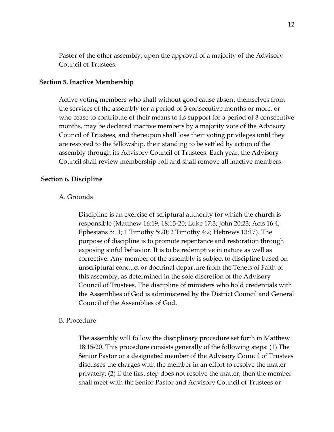Pastor of the other assembly, upon the approval of a majority of the Advisory Council of Trustees.

#### **Section 5. Inactive Membership**

Active voting members who shall without good cause absent themselves from the services of the assembly for a period of 3 consecutive months or more, or who cease to contribute of their means to its support for a period of 3 consecutive months, may be declared inactive members by a majority vote of the Advisory Council of Trustees, and thereupon shall lose their voting privileges until they are restored to the fellowship, their standing to be settled by action of the assembly through its Advisory Council of Trustees. Each year, the Advisory Council shall review membership roll and shall remove all inactive members.

#### .**Section 6. Discipline**

#### A. Grounds

Discipline is an exercise of scriptural authority for which the church is responsible (Matthew 16:19; 18:15-20; Luke 17:3; John 20:23; Acts 16:4; Ephesians 5:11; 1 Timothy 5:20; 2 Timothy 4:2; Hebrews 13:17). The purpose of discipline is to promote repentance and restoration through exposing sinful behavior. It is to be redemptive in nature as well as corrective. Any member of the assembly is subject to discipline based on unscriptural conduct or doctrinal departure from the Tenets of Faith of this assembly, as determined in the sole discretion of the Advisory Council of Trustees. The discipline of ministers who hold credentials with the Assemblies of God is administered by the District Council and General Council of the Assemblies of God.

#### B. Procedure

The assembly will follow the disciplinary procedure set forth in Matthew 18:15-20. This procedure consists generally of the following steps: (1) The Senior Pastor or a designated member of the Advisory Council of Trustees discusses the charges with the member in an effort to resolve the matter privately; (2) if the first step does not resolve the matter, then the member shall meet with the Senior Pastor and Advisory Council of Trustees or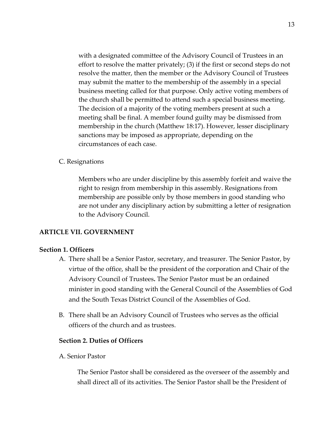with a designated committee of the Advisory Council of Trustees in an effort to resolve the matter privately; (3) if the first or second steps do not resolve the matter, then the member or the Advisory Council of Trustees may submit the matter to the membership of the assembly in a special business meeting called for that purpose. Only active voting members of the church shall be permitted to attend such a special business meeting. The decision of a majority of the voting members present at such a meeting shall be final. A member found guilty may be dismissed from membership in the church (Matthew 18:17). However, lesser disciplinary sanctions may be imposed as appropriate, depending on the circumstances of each case.

# C. Resignations

Members who are under discipline by this assembly forfeit and waive the right to resign from membership in this assembly. Resignations from membership are possible only by those members in good standing who are not under any disciplinary action by submitting a letter of resignation to the Advisory Council.

## **ARTICLE VII. GOVERNMENT**

## **Section 1. Officers**

- A. There shall be a Senior Pastor, secretary, and treasurer. The Senior Pastor, by virtue of the office, shall be the president of the corporation and Chair of the Advisory Council of Trustees**.** The Senior Pastor must be an ordained minister in good standing with the General Council of the Assemblies of God and the South Texas District Council of the Assemblies of God.
- B. There shall be an Advisory Council of Trustees who serves as the official officers of the church and as trustees.

### **Section 2. Duties of Officers**

A. Senior Pastor

The Senior Pastor shall be considered as the overseer of the assembly and shall direct all of its activities. The Senior Pastor shall be the President of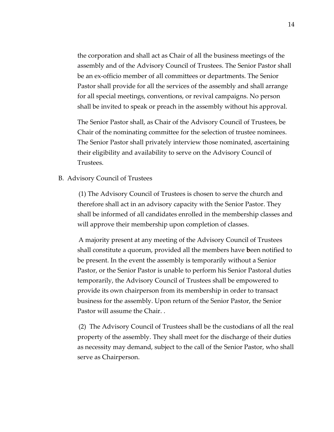the corporation and shall act as Chair of all the business meetings of the assembly and of the Advisory Council of Trustees. The Senior Pastor shall be an ex-officio member of all committees or departments. The Senior Pastor shall provide for all the services of the assembly and shall arrange for all special meetings, conventions, or revival campaigns. No person shall be invited to speak or preach in the assembly without his approval.

The Senior Pastor shall, as Chair of the Advisory Council of Trustees, be Chair of the nominating committee for the selection of trustee nominees. The Senior Pastor shall privately interview those nominated, ascertaining their eligibility and availability to serve on the Advisory Council of Trustees.

B. Advisory Council of Trustees

(1) The Advisory Council of Trustees is chosen to serve the church and therefore shall act in an advisory capacity with the Senior Pastor. They shall be informed of all candidates enrolled in the membership classes and will approve their membership upon completion of classes.

A majority present at any meeting of the Advisory Council of Trustees shall constitute a quorum, provided all the members have **b**een notified to be present. In the event the assembly is temporarily without a Senior Pastor, or the Senior Pastor is unable to perform his Senior Pastoral duties temporarily, the Advisory Council of Trustees shall be empowered to provide its own chairperson from its membership in order to transact business for the assembly. Upon return of the Senior Pastor, the Senior Pastor will assume the Chair. .

(2) The Advisory Council of Trustees shall be the custodians of all the real property of the assembly. They shall meet for the discharge of their duties as necessity may demand, subject to the call of the Senior Pastor, who shall serve as Chairperson.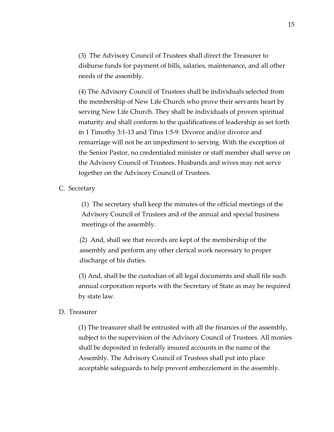(3) The Advisory Council of Trustees shall direct the Treasurer to disburse funds for payment of bills, salaries, maintenance, and all other needs of the assembly.

(4) The Advisory Council of Trustees shall be individuals selected from the membership of New Life Church who prove their servants heart by serving New Life Church. They shall be individuals of proven spiritual maturity and shall conform to the qualifications of leadership as set forth in 1 Timothy 3:1-13 and Titus 1:5-9. Divorce and/or divorce and remarriage will not be an impediment to serving. With the exception of the Senior Pastor, no credentialed minister or staff member shall serve on the Advisory Council of Trustees. Husbands and wives may not serve together on the Advisory Council of Trustees.

## C. Secretary

(1) The secretary shall keep the minutes of the official meetings of the Advisory Council of Trustees and of the annual and special business meetings of the assembly.

(2) And, shall see that records are kept of the membership of the assembly and perform any other clerical work necessary to proper discharge of his duties.

(3) And, shall be the custodian of all legal documents and shall file such annual corporation reports with the Secretary of State as may be required by state law.

## D. Treasurer

(1) The treasurer shall be entrusted with all the finances of the assembly, subject to the supervision of the Advisory Council of Trustees. All monies shall be deposited in federally insured accounts in the name of the Assembly. The Advisory Council of Trustees shall put into place acceptable safeguards to help prevent embezzlement in the assembly.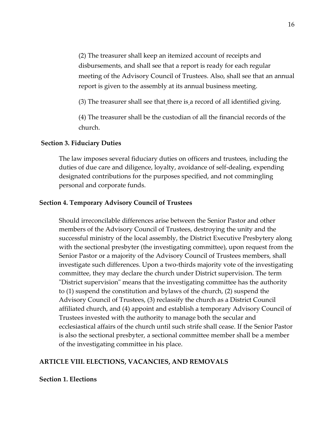(2) The treasurer shall keep an itemized account of receipts and disbursements, and shall see that a report is ready for each regular meeting of the Advisory Council of Trustees. Also, shall see that an annual report is given to the assembly at its annual business meeting.

(3) The treasurer shall see that there is a record of all identified giving.

(4) The treasurer shall be the custodian of all the financial records of the church.

### **Section 3. Fiduciary Duties**

The law imposes several fiduciary duties on officers and trustees, including the duties of due care and diligence, loyalty, avoidance of self-dealing, expending designated contributions for the purposes specified, and not commingling personal and corporate funds.

### **Section 4. Temporary Advisory Council of Trustees**

Should irreconcilable differences arise between the Senior Pastor and other members of the Advisory Council of Trustees, destroying the unity and the successful ministry of the local assembly, the District Executive Presbytery along with the sectional presbyter (the investigating committee), upon request from the Senior Pastor or a majority of the Advisory Council of Trustees members, shall investigate such differences. Upon a two-thirds majority vote of the investigating committee, they may declare the church under District supervision. The term "District supervision" means that the investigating committee has the authority to (1) suspend the constitution and bylaws of the church, (2) suspend the Advisory Council of Trustees, (3) reclassify the church as a District Council affiliated church, and (4) appoint and establish a temporary Advisory Council of Trustees invested with the authority to manage both the secular and ecclesiastical affairs of the church until such strife shall cease. If the Senior Pastor is also the sectional presbyter, a sectional committee member shall be a member of the investigating committee in his place.

## **ARTICLE VIII. ELECTIONS, VACANCIES, AND REMOVALS**

## **Section 1. Elections**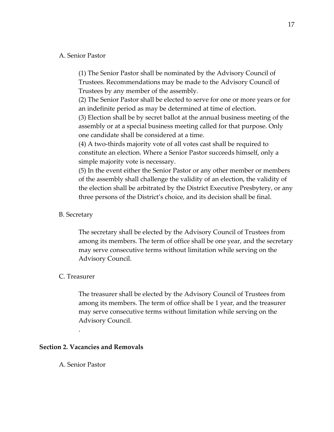### A. Senior Pastor

(1) The Senior Pastor shall be nominated by the Advisory Council of Trustees. Recommendations may be made to the Advisory Council of Trustees by any member of the assembly.

(2) The Senior Pastor shall be elected to serve for one or more years or for an indefinite period as may be determined at time of election.

(3) Election shall be by secret ballot at the annual business meeting of the assembly or at a special business meeting called for that purpose. Only one candidate shall be considered at a time.

(4) A two-thirds majority vote of all votes cast shall be required to constitute an election. Where a Senior Pastor succeeds himself, only a simple majority vote is necessary.

(5) In the event either the Senior Pastor or any other member or members of the assembly shall challenge the validity of an election, the validity of the election shall be arbitrated by the District Executive Presbytery, or any three persons of the District's choice, and its decision shall be final.

## B. Secretary

The secretary shall be elected by the Advisory Council of Trustees from among its members. The term of office shall be one year, and the secretary may serve consecutive terms without limitation while serving on the Advisory Council.

### C. Treasurer

The treasurer shall be elected by the Advisory Council of Trustees from among its members. The term of office shall be 1 year, and the treasurer may serve consecutive terms without limitation while serving on the Advisory Council.

### **Section 2. Vacancies and Removals**

A. Senior Pastor

.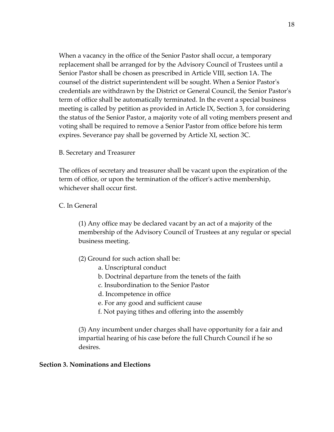When a vacancy in the office of the Senior Pastor shall occur, a temporary replacement shall be arranged for by the Advisory Council of Trustees until a Senior Pastor shall be chosen as prescribed in Article VIII, section 1A. The counsel of the district superintendent will be sought. When a Senior Pastor's credentials are withdrawn by the District or General Council, the Senior Pastor's term of office shall be automatically terminated. In the event a special business meeting is called by petition as provided in Article IX, Section 3, for considering the status of the Senior Pastor, a majority vote of all voting members present and voting shall be required to remove a Senior Pastor from office before his term expires. Severance pay shall be governed by Article XI, section 3C.

# B. Secretary and Treasurer

The offices of secretary and treasurer shall be vacant upon the expiration of the term of office, or upon the termination of the officer's active membership, whichever shall occur first.

# C. In General

(1) Any office may be declared vacant by an act of a majority of the membership of the Advisory Council of Trustees at any regular or special business meeting.

(2) Ground for such action shall be:

- a. Unscriptural conduct
- b. Doctrinal departure from the tenets of the faith
- c. Insubordination to the Senior Pastor
- d. Incompetence in office
- e. For any good and sufficient cause
- f. Not paying tithes and offering into the assembly

(3) Any incumbent under charges shall have opportunity for a fair and impartial hearing of his case before the full Church Council if he so desires.

## **Section 3. Nominations and Elections**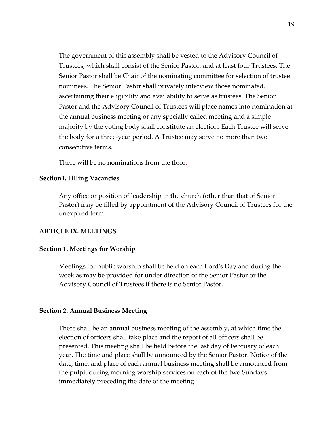The government of this assembly shall be vested to the Advisory Council of Trustees, which shall consist of the Senior Pastor, and at least four Trustees. The Senior Pastor shall be Chair of the nominating committee for selection of trustee nominees. The Senior Pastor shall privately interview those nominated, ascertaining their eligibility and availability to serve as trustees. The Senior Pastor and the Advisory Council of Trustees will place names into nomination at the annual business meeting or any specially called meeting and a simple majority by the voting body shall constitute an election. Each Trustee will serve the body for a three-year period. A Trustee may serve no more than two consecutive terms.

There will be no nominations from the floor.

### **Section4. Filling Vacancies**

Any office or position of leadership in the church (other than that of Senior Pastor) may be filled by appointment of the Advisory Council of Trustees for the unexpired term.

### **ARTICLE IX. MEETINGS**

#### **Section 1. Meetings for Worship**

Meetings for public worship shall be held on each Lord's Day and during the week as may be provided for under direction of the Senior Pastor or the Advisory Council of Trustees if there is no Senior Pastor.

#### **Section 2. Annual Business Meeting**

There shall be an annual business meeting of the assembly, at which time the election of officers shall take place and the report of all officers shall be presented. This meeting shall be held before the last day of February of each year. The time and place shall be announced by the Senior Pastor. Notice of the date, time, and place of each annual business meeting shall be announced from the pulpit during morning worship services on each of the two Sundays immediately preceding the date of the meeting.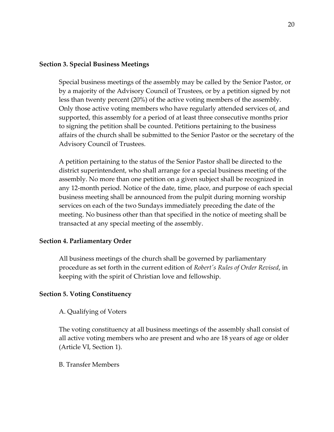## **Section 3. Special Business Meetings**

Special business meetings of the assembly may be called by the Senior Pastor, or by a majority of the Advisory Council of Trustees, or by a petition signed by not less than twenty percent (20%) of the active voting members of the assembly. Only those active voting members who have regularly attended services of, and supported, this assembly for a period of at least three consecutive months prior to signing the petition shall be counted. Petitions pertaining to the business affairs of the church shall be submitted to the Senior Pastor or the secretary of the Advisory Council of Trustees.

A petition pertaining to the status of the Senior Pastor shall be directed to the district superintendent, who shall arrange for a special business meeting of the assembly. No more than one petition on a given subject shall be recognized in any 12-month period. Notice of the date, time, place, and purpose of each special business meeting shall be announced from the pulpit during morning worship services on each of the two Sundays immediately preceding the date of the meeting. No business other than that specified in the notice of meeting shall be transacted at any special meeting of the assembly.

## **Section 4. Parliamentary Order**

All business meetings of the church shall be governed by parliamentary procedure as set forth in the current edition of *Robert's Rules of Order Revised*, in keeping with the spirit of Christian love and fellowship.

## **Section 5. Voting Constituency**

## A. Qualifying of Voters

The voting constituency at all business meetings of the assembly shall consist of all active voting members who are present and who are 18 years of age or older (Article VI, Section 1).

B. Transfer Members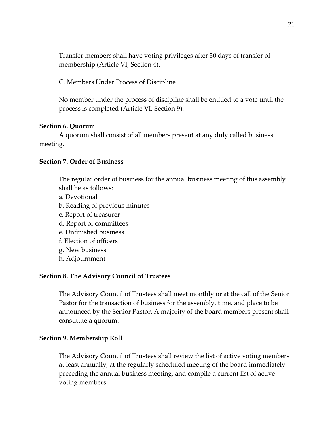Transfer members shall have voting privileges after 30 days of transfer of membership (Article VI, Section 4).

C. Members Under Process of Discipline

No member under the process of discipline shall be entitled to a vote until the process is completed (Article VI, Section 9).

### **Section 6. Quorum**

A quorum shall consist of all members present at any duly called business meeting.

#### **Section 7. Order of Business**

The regular order of business for the annual business meeting of this assembly shall be as follows:

- a. Devotional
- b. Reading of previous minutes
- c. Report of treasurer
- d. Report of committees
- e. Unfinished business
- f. Election of officers
- g. New business
- h. Adjournment

#### **Section 8. The Advisory Council of Trustees**

The Advisory Council of Trustees shall meet monthly or at the call of the Senior Pastor for the transaction of business for the assembly, time, and place to be announced by the Senior Pastor. A majority of the board members present shall constitute a quorum.

#### **Section 9. Membership Roll**

The Advisory Council of Trustees shall review the list of active voting members at least annually, at the regularly scheduled meeting of the board immediately preceding the annual business meeting, and compile a current list of active voting members.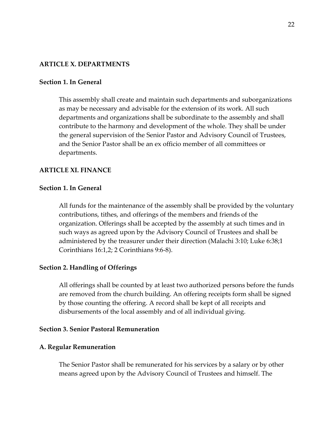## **ARTICLE X. DEPARTMENTS**

### **Section 1. In General**

This assembly shall create and maintain such departments and suborganizations as may be necessary and advisable for the extension of its work. All such departments and organizations shall be subordinate to the assembly and shall contribute to the harmony and development of the whole. They shall be under the general supervision of the Senior Pastor and Advisory Council of Trustees, and the Senior Pastor shall be an ex officio member of all committees or departments.

### **ARTICLE XI. FINANCE**

#### **Section 1. In General**

All funds for the maintenance of the assembly shall be provided by the voluntary contributions, tithes, and offerings of the members and friends of the organization. Offerings shall be accepted by the assembly at such times and in such ways as agreed upon by the Advisory Council of Trustees and shall be administered by the treasurer under their direction (Malachi 3:10; Luke 6:38;1 Corinthians 16:1,2; 2 Corinthians 9:6-8).

#### **Section 2. Handling of Offerings**

All offerings shall be counted by at least two authorized persons before the funds are removed from the church building. An offering receipts form shall be signed by those counting the offering. A record shall be kept of all receipts and disbursements of the local assembly and of all individual giving.

#### **Section 3. Senior Pastoral Remuneration**

#### **A. Regular Remuneration**

The Senior Pastor shall be remunerated for his services by a salary or by other means agreed upon by the Advisory Council of Trustees and himself. The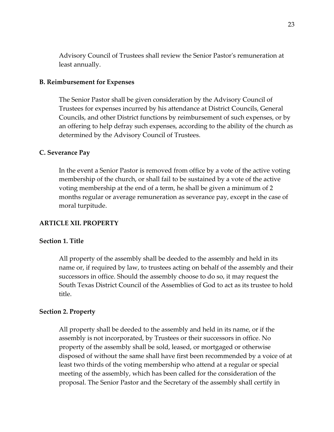Advisory Council of Trustees shall review the Senior Pastor's remuneration at least annually.

### **B. Reimbursement for Expenses**

The Senior Pastor shall be given consideration by the Advisory Council of Trustees for expenses incurred by his attendance at District Councils, General Councils, and other District functions by reimbursement of such expenses, or by an offering to help defray such expenses, according to the ability of the church as determined by the Advisory Council of Trustees.

### **C. Severance Pay**

In the event a Senior Pastor is removed from office by a vote of the active voting membership of the church, or shall fail to be sustained by a vote of the active voting membership at the end of a term, he shall be given a minimum of 2 months regular or average remuneration as severance pay, except in the case of moral turpitude.

#### **ARTICLE XII. PROPERTY**

#### **Section 1. Title**

All property of the assembly shall be deeded to the assembly and held in its name or, if required by law, to trustees acting on behalf of the assembly and their successors in office. Should the assembly choose to do so, it may request the South Texas District Council of the Assemblies of God to act as its trustee to hold title.

### **Section 2. Property**

All property shall be deeded to the assembly and held in its name, or if the assembly is not incorporated, by Trustees or their successors in office. No property of the assembly shall be sold, leased, or mortgaged or otherwise disposed of without the same shall have first been recommended by a voice of at least two thirds of the voting membership who attend at a regular or special meeting of the assembly, which has been called for the consideration of the proposal. The Senior Pastor and the Secretary of the assembly shall certify in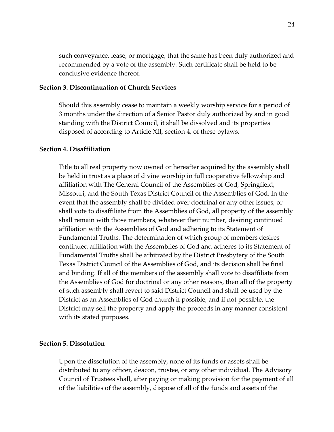such conveyance, lease, or mortgage, that the same has been duly authorized and recommended by a vote of the assembly. Such certificate shall be held to be conclusive evidence thereof.

# **Section 3. Discontinuation of Church Services**

Should this assembly cease to maintain a weekly worship service for a period of 3 months under the direction of a Senior Pastor duly authorized by and in good standing with the District Council, it shall be dissolved and its properties disposed of according to Article XII, section 4, of these bylaws.

#### **Section 4. Disaffiliation**

Title to all real property now owned or hereafter acquired by the assembly shall be held in trust as a place of divine worship in full cooperative fellowship and affiliation with The General Council of the Assemblies of God, Springfield, Missouri, and the South Texas District Council of the Assemblies of God. In the event that the assembly shall be divided over doctrinal or any other issues, or shall vote to disaffiliate from the Assemblies of God, all property of the assembly shall remain with those members, whatever their number, desiring continued affiliation with the Assemblies of God and adhering to its Statement of Fundamental Truths. The determination of which group of members desires continued affiliation with the Assemblies of God and adheres to its Statement of Fundamental Truths shall be arbitrated by the District Presbytery of the South Texas District Council of the Assemblies of God, and its decision shall be final and binding. If all of the members of the assembly shall vote to disaffiliate from the Assemblies of God for doctrinal or any other reasons, then all of the property of such assembly shall revert to said District Council and shall be used by the District as an Assemblies of God church if possible, and if not possible, the District may sell the property and apply the proceeds in any manner consistent with its stated purposes.

#### **Section 5. Dissolution**

Upon the dissolution of the assembly, none of its funds or assets shall be distributed to any officer, deacon, trustee, or any other individual. The Advisory Council of Trustees shall, after paying or making provision for the payment of all of the liabilities of the assembly, dispose of all of the funds and assets of the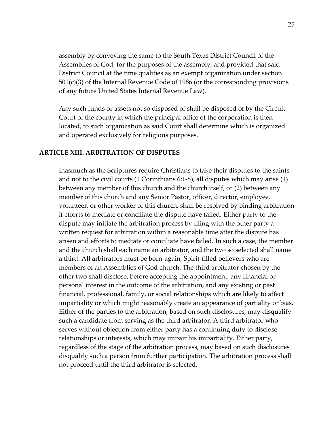assembly by conveying the same to the South Texas District Council of the Assemblies of God, for the purposes of the assembly, and provided that said District Council at the time qualifies as an exempt organization under section 501(c)(3) of the Internal Revenue Code of 1986 (or the corresponding provisions of any future United States Internal Revenue Law).

Any such funds or assets not so disposed of shall be disposed of by the Circuit Court of the county in which the principal office of the corporation is then located, to such organization as said Court shall determine which is organized and operated exclusively for religious purposes.

### **ARTICLE XIII. ARBITRATION OF DISPUTES**

Inasmuch as the Scriptures require Christians to take their disputes to the saints and not to the civil courts (1 Corinthians 6:1-8), all disputes which may arise (1) between any member of this church and the church itself, or (2) between any member of this church and any Senior Pastor, officer, director, employee, volunteer, or other worker of this church, shall be resolved by binding arbitration if efforts to mediate or conciliate the dispute have failed. Either party to the dispute may initiate the arbitration process by filing with the other party a written request for arbitration within a reasonable time after the dispute has arisen and efforts to mediate or conciliate have failed. In such a case, the member and the church shall each name an arbitrator, and the two so selected shall name a third. All arbitrators must be born-again, Spirit-filled believers who are members of an Assemblies of God church. The third arbitrator chosen by the other two shall disclose, before accepting the appointment, any financial or personal interest in the outcome of the arbitration, and any existing or past financial, professional, family, or social relationships which are likely to affect impartiality or which might reasonably create an appearance of partiality or bias. Either of the parties to the arbitration, based on such disclosures, may disqualify such a candidate from serving as the third arbitrator. A third arbitrator who serves without objection from either party has a continuing duty to disclose relationships or interests, which may impair his impartiality. Either party, regardless of the stage of the arbitration process, may based on such disclosures disqualify such a person from further participation. The arbitration process shall not proceed until the third arbitrator is selected.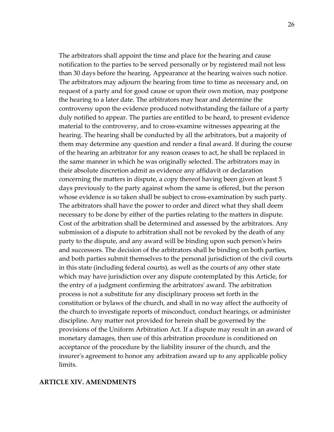The arbitrators shall appoint the time and place for the hearing and cause notification to the parties to be served personally or by registered mail not less than 30 days before the hearing. Appearance at the hearing waives such notice. The arbitrators may adjourn the hearing from time to time as necessary and, on request of a party and for good cause or upon their own motion, may postpone the hearing to a later date. The arbitrators may hear and determine the controversy upon the evidence produced notwithstanding the failure of a party duly notified to appear. The parties are entitled to be heard, to present evidence material to the controversy, and to cross-examine witnesses appearing at the hearing. The hearing shall be conducted by all the arbitrators, but a majority of them may determine any question and render a final award. If during the course of the hearing an arbitrator for any reason ceases to act, he shall be replaced in the same manner in which he was originally selected. The arbitrators may in their absolute discretion admit as evidence any affidavit or declaration concerning the matters in dispute, a copy thereof having been given at least 5 days previously to the party against whom the same is offered, but the person whose evidence is so taken shall be subject to cross-examination by such party. The arbitrators shall have the power to order and direct what they shall deem necessary to be done by either of the parties relating to the matters in dispute. Cost of the arbitration shall be determined and assessed by the arbitrators. Any submission of a dispute to arbitration shall not be revoked by the death of any party to the dispute, and any award will be binding upon such person's heirs and successors. The decision of the arbitrators shall be binding on both parties, and both parties submit themselves to the personal jurisdiction of the civil courts in this state (including federal courts), as well as the courts of any other state which may have jurisdiction over any dispute contemplated by this Article, for the entry of a judgment confirming the arbitrators' award. The arbitration process is not a substitute for any disciplinary process set forth in the constitution or bylaws of the church, and shall in no way affect the authority of the church to investigate reports of misconduct, conduct hearings, or administer discipline. Any matter not provided for herein shall be governed by the provisions of the Uniform Arbitration Act. If a dispute may result in an award of monetary damages, then use of this arbitration procedure is conditioned on acceptance of the procedure by the liability insurer of the church, and the insurer's agreement to honor any arbitration award up to any applicable policy limits.

#### **ARTICLE XIV. AMENDMENTS**